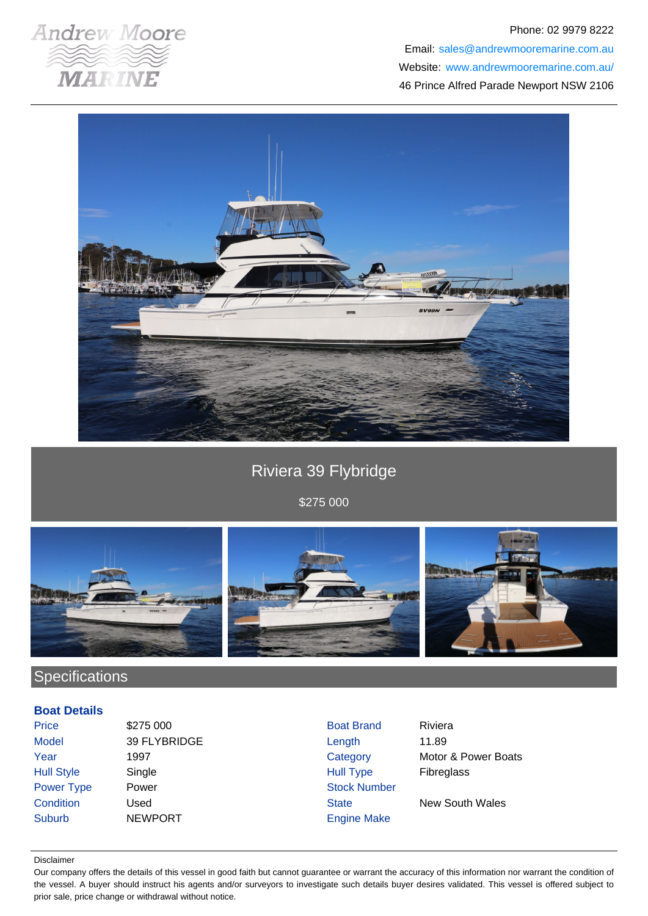

#### Phone: 02 9979 8222

Email: sales@andrewmooremarine.com.au Website: www.andrewmooremarine.com.au/ 46 Prince Alfred Parade Newport NSW 2106



# Riviera 39 Flybridge

\$275 000



## **Specifications**

#### **Boat Details**

| Price             | \$275 000      | <b>Boat Brand</b>   | Riviera             |
|-------------------|----------------|---------------------|---------------------|
| <b>Model</b>      | 39 FLYBRIDGE   | Length              | 11.89               |
| Year              | 1997           | Category            | Motor & Power Boats |
| <b>Hull Style</b> | Single         | <b>Hull Type</b>    | <b>Fibreglass</b>   |
| Power Type        | Power          | <b>Stock Number</b> |                     |
| Condition         | Used           | <b>State</b>        | New South Wales     |
| <b>Suburb</b>     | <b>NEWPORT</b> | <b>Engine Make</b>  |                     |

#### Disclaimer

Our company offers the details of this vessel in good faith but cannot guarantee or warrant the accuracy of this information nor warrant the condition of the vessel. A buyer should instruct his agents and/or surveyors to investigate such details buyer desires validated. This vessel is offered subject to prior sale, price change or withdrawal without notice.